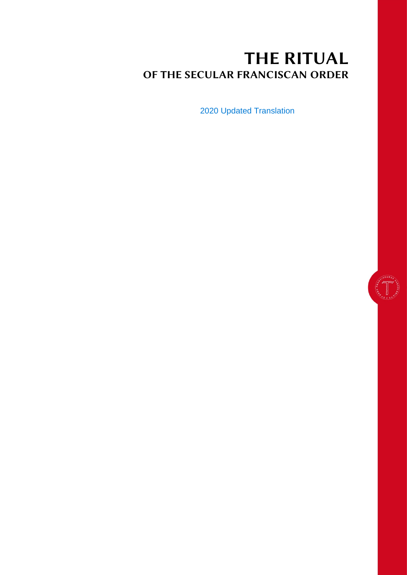# THE RITUAL OF THE SECULAR FRANCISCAN ORDER

2020 Updated Translation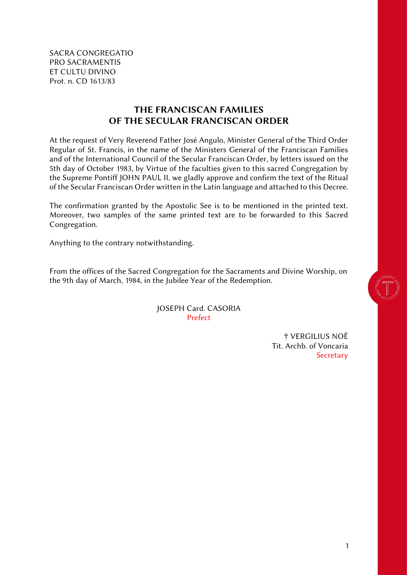SACRA CONGREGATIO PRO SACRAMENTIS ET CULTU DIVINO Prot. n. CD 1613/83

### THE FRANCISCAN FAMILIES OF THE SECULAR FRANCISCAN ORDER

<span id="page-1-0"></span>At the request of Very Reverend Father José Angulo, Minister General of the Third Order Regular of St. Francis, in the name of the Ministers General of the Franciscan Families and of the International Council of the Secular Franciscan Order, by letters issued on the 5th day of October 1983*,* by Virtue of the faculties given to this sacred Congregation by the Supreme Pontiff JOHN PAUL II, we gladly approve and confirm the text of the Ritual of the Secular Franciscan Order written in the Latin language and attached to this Decree.

The confirmation granted by the Apostolic See is to be mentioned in the printed text. Moreover, two samples of the same printed text are to be forwarded to this Sacred Congregation.

Anything to the contrary notwithstanding.

From the offices of the Sacred Congregation for the Sacraments and Divine Worship, on the 9th day of March, 1984, in the Jubilee Year of the Redemption.

> JOSEPH Card. CASORIA Prefect

> > † VERGILIUS NOÈ Tit. Archb. of Voncaria **Secretary**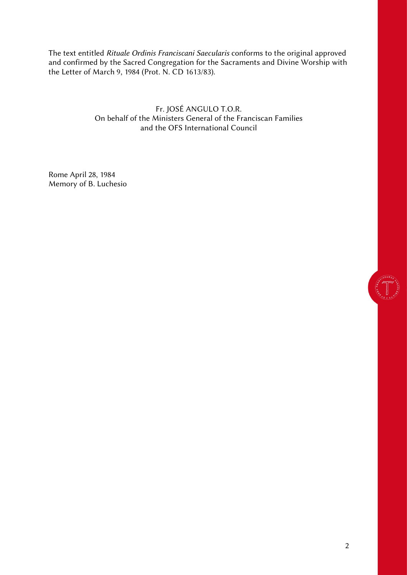The text entitled *Rituale Ordinis Franciscani Saecularis* conforms to the original approved and confirmed by the Sacred Congregation for the Sacraments and Divine Worship with the Letter of March 9, 1984 (Prot. N. CD 1613/83).

> Fr. JOSÉ ANGULO T.O.R. On behalf of the Ministers General of the Franciscan Families and the OFS International Council

Rome April 28, 1984 Memory of B. Luchesio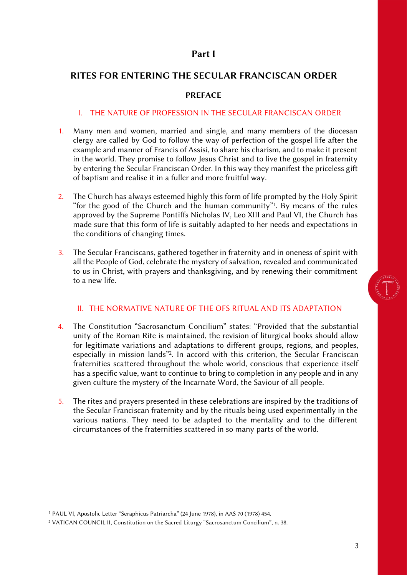### Part I

### <span id="page-3-1"></span><span id="page-3-0"></span>RITES FOR ENTERING THE SECULAR FRANCISCAN ORDER

### PREFACE

#### I. THE NATURE OF PROFESSION IN THE SECULAR FRANCISCAN ORDER

- <span id="page-3-2"></span>1. Many men and women, married and single, and many members of the diocesan clergy are called by God to follow the way of perfection of the gospel life after the example and manner of Francis of Assisi, to share his charism, and to make it present in the world. They promise to follow Jesus Christ and to live the gospel in fraternity by entering the Secular Franciscan Order. In this way they manifest the priceless gift of baptism and realise it in a fuller and more fruitful way.
- 2. The Church has always esteemed highly this form of life prompted by the Holy Spirit "for the good of the Church and the human community"<sup>1</sup>. By means of the rules approved by the Supreme Pontiffs Nicholas IV, Leo XIII and Paul VI, the Church has made sure that this form of life is suitably adapted to her needs and expectations in the conditions of changing times.
- 3. The Secular Franciscans, gathered together in fraternity and in oneness of spirit with all the People of God, celebrate the mystery of salvation, revealed and communicated to us in Christ, with prayers and thanksgiving, and by renewing their commitment to a new life.

### II. THE NORMATIVE NATURE OF THE OFS RITUAL AND ITS ADAPTATION

- <span id="page-3-3"></span>4. The Constitution "Sacrosanctum Concilium" states: "Provided that the substantial unity of the Roman Rite is maintained, the revision of liturgical books should allow for legitimate variations and adaptations to different groups, regions, and peoples, especially in mission lands"<sup>2</sup>. In accord with this criterion, the Secular Franciscan fraternities scattered throughout the whole world, conscious that experience itself has a specific value, want to continue to bring to completion in any people and in any given culture the mystery of the Incarnate Word, the Saviour of all people.
- 5. The rites and prayers presented in these celebrations are inspired by the traditions of the Secular Franciscan fraternity and by the rituals being used experimentally in the various nations. They need to be adapted to the mentality and to the different circumstances of the fraternities scattered in so many parts of the world.

<sup>1</sup> PAUL VI, Apostolic Letter "Seraphicus Patriarcha" (24 June 1978), in AAS 70 (1978) 454.

<sup>2</sup> VATICAN COUNCIL II, Constitution on the Sacred Liturgy "Sacrosanctum Concilium", n. 38.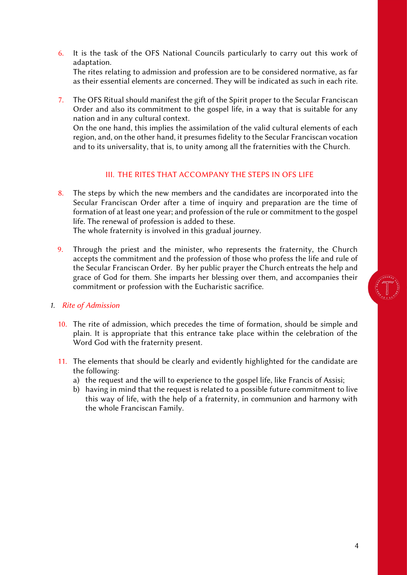6. It is the task of the OFS National Councils particularly to carry out this work of adaptation.

The rites relating to admission and profession are to be considered normative, as far as their essential elements are concerned. They will be indicated as such in each rite.

7. The OFS Ritual should manifest the gift of the Spirit proper to the Secular Franciscan Order and also its commitment to the gospel life, in a way that is suitable for any nation and in any cultural context.

On the one hand, this implies the assimilation of the valid cultural elements of each region, and, on the other hand, it presumes fidelity to the Secular Franciscan vocation and to its universality, that is, to unity among all the fraternities with the Church.

#### III. THE RITES THAT ACCOMPANY THE STEPS IN OFS LIFE

<span id="page-4-0"></span>8. The steps by which the new members and the candidates are incorporated into the Secular Franciscan Order after a time of inquiry and preparation are the time of formation of at least one year; and profession of the rule or commitment to the gospel life. The renewal of profession is added to these.

The whole fraternity is involved in this gradual journey.

9. Through the priest and the minister, who represents the fraternity, the Church accepts the commitment and the profession of those who profess the life and rule of the Secular Franciscan Order. By her public prayer the Church entreats the help and grace of God for them. She imparts her blessing over them, and accompanies their commitment or profession with the Eucharistic sacrifice.

#### *1. Rite of Admission*

- 10. The rite of admission, which precedes the time of formation, should be simple and plain. It is appropriate that this entrance take place within the celebration of the Word God with the fraternity present.
- 11. The elements that should be clearly and evidently highlighted for the candidate are the following:
	- a) the request and the will to experience to the gospel life, like Francis of Assisi;
	- b) having in mind that the request is related to a possible future commitment to live this way of life, with the help of a fraternity, in communion and harmony with the whole Franciscan Family.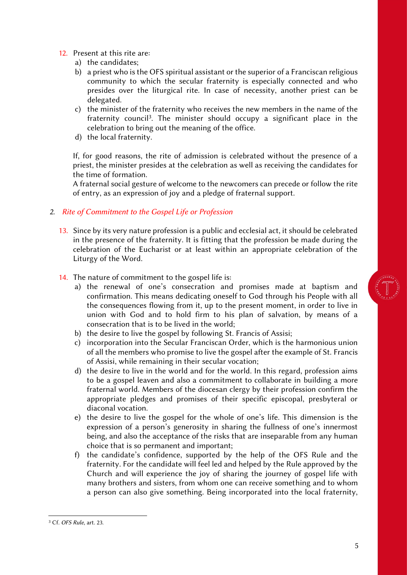- 12. Present at this rite are:
	- a) the candidates;
	- b) a priest who is the OFS spiritual assistant or the superior of a Franciscan religious community to which the secular fraternity is especially connected and who presides over the liturgical rite. In case of necessity, another priest can be delegated.
	- c) the minister of the fraternity who receives the new members in the name of the fraternity council<sup>3</sup>. The minister should occupy a significant place in the celebration to bring out the meaning of the office.
	- d) the local fraternity.

If, for good reasons, the rite of admission is celebrated without the presence of a priest, the minister presides at the celebration as well as receiving the candidates for the time of formation.

A fraternal social gesture of welcome to the newcomers can precede or follow the rite of entry, as an expression of joy and a pledge of fraternal support.

### *2. Rite of Commitment to the Gospel Life or Profession*

- 13. Since by its very nature profession is a public and ecclesial act, it should be celebrated in the presence of the fraternity. It is fitting that the profession be made during the celebration of the Eucharist or at least within an appropriate celebration of the Liturgy of the Word.
- 14. The nature of commitment to the gospel life is:
	- a) the renewal of one's consecration and promises made at baptism and confirmation. This means dedicating oneself to God through his People with all the consequences flowing from it, up to the present moment, in order to live in union with God and to hold firm to his plan of salvation, by means of a consecration that is to be lived in the world;
	- b) the desire to live the gospel by following St. Francis of Assisi;
	- c) incorporation into the Secular Franciscan Order, which is the harmonious union of all the members who promise to live the gospel after the example of St. Francis of Assisi, while remaining in their secular vocation;
	- d) the desire to live in the world and for the world. In this regard, profession aims to be a gospel leaven and also a commitment to collaborate in building a more fraternal world. Members of the diocesan clergy by their profession confirm the appropriate pledges and promises of their specific episcopal, presbyteral or diaconal vocation.
	- e) the desire to live the gospel for the whole of one's life. This dimension is the expression of a person's generosity in sharing the fullness of one's innermost being, and also the acceptance of the risks that are inseparable from any human choice that is so permanent and important;
	- f) the candidate's confidence, supported by the help of the OFS Rule and the fraternity. For the candidate will feel led and helped by the Rule approved by the Church and will experience the joy of sharing the journey of gospel life with many brothers and sisters, from whom one can receive something and to whom a person can also give something. Being incorporated into the local fraternity,



<sup>3</sup> Cf. *OFS Rule*, art. 23.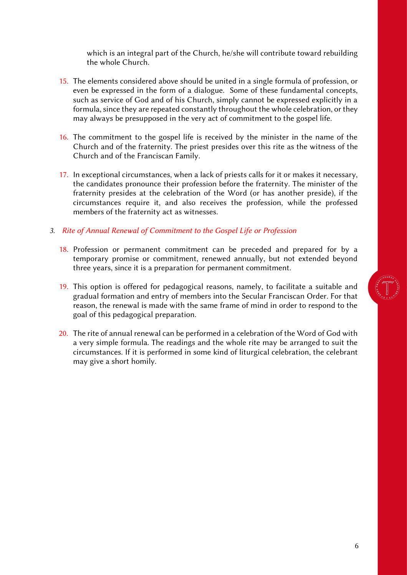which is an integral part of the Church, he/she will contribute toward rebuilding the whole Church.

- 15. The elements considered above should be united in a single formula of profession, or even be expressed in the form of a dialogue. Some of these fundamental concepts, such as service of God and of his Church, simply cannot be expressed explicitly in a formula, since they are repeated constantly throughout the whole celebration, or they may always be presupposed in the very act of commitment to the gospel life.
- 16. The commitment to the gospel life is received by the minister in the name of the Church and of the fraternity. The priest presides over this rite as the witness of the Church and of the Franciscan Family.
- 17. In exceptional circumstances, when a lack of priests calls for it or makes it necessary, the candidates pronounce their profession before the fraternity. The minister of the fraternity presides at the celebration of the Word (or has another preside), if the circumstances require it, and also receives the profession, while the professed members of the fraternity act as witnesses.

#### *3. Rite of Annual Renewal of Commitment to the Gospel Life or Profession*

- 18. Profession or permanent commitment can be preceded and prepared for by a temporary promise or commitment, renewed annually, but not extended beyond three years, since it is a preparation for permanent commitment.
- 19. This option is offered for pedagogical reasons, namely, to facilitate a suitable and gradual formation and entry of members into the Secular Franciscan Order. For that reason, the renewal is made with the same frame of mind in order to respond to the goal of this pedagogical preparation.
- 20. The rite of annual renewal can be performed in a celebration of the Word of God with a very simple formula. The readings and the whole rite may be arranged to suit the circumstances. If it is performed in some kind of liturgical celebration, the celebrant may give a short homily.

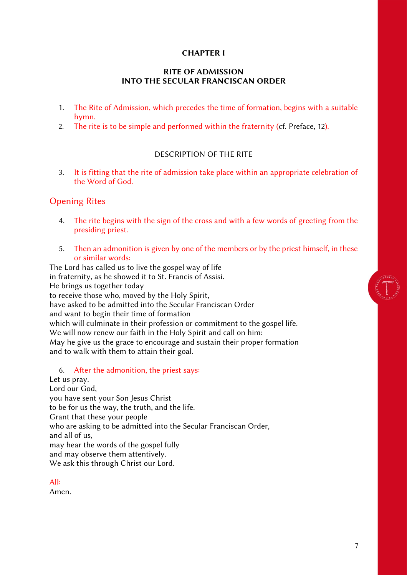#### CHAPTER I

#### RITE OF ADMISSION INTO THE SECULAR FRANCISCAN ORDER

- <span id="page-7-0"></span>1. The Rite of Admission, which precedes the time of formation, begins with a suitable hymn.
- 2. The rite is to be simple and performed within the fraternity (cf. Preface, 12).

### DESCRIPTION OF THE RITE

<span id="page-7-1"></span>3. It is fitting that the rite of admission take place within an appropriate celebration of the Word of God.

### Opening Rites

- 4. The rite begins with the sign of the cross and with a few words of greeting from the presiding priest.
- 5. Then an admonition is given by one of the members or by the priest himself, in these or similar words:

The Lord has called us to live the gospel way of life in fraternity, as he showed it to St. Francis of Assisi. He brings us together today to receive those who, moved by the Holy Spirit, have asked to be admitted into the Secular Franciscan Order and want to begin their time of formation which will culminate in their profession or commitment to the gospel life. We will now renew our faith in the Holy Spirit and call on him: May he give us the grace to encourage and sustain their proper formation and to walk with them to attain their goal.

#### 6. After the admonition, the priest says:

Let us pray. Lord our God, you have sent your Son Jesus Christ to be for us the way, the truth, and the life. Grant that these your people who are asking to be admitted into the Secular Franciscan Order, and all of us, may hear the words of the gospel fully and may observe them attentively. We ask this through Christ our Lord.

All:

Amen.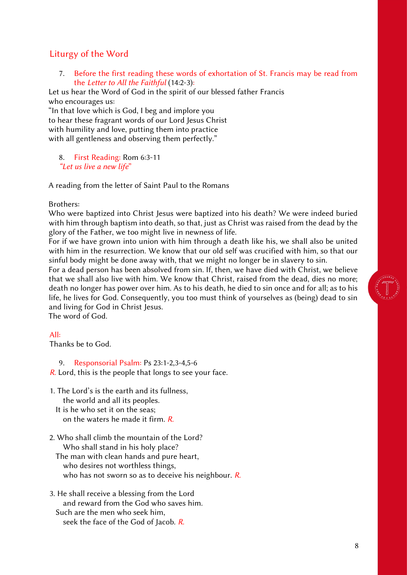### Liturgy of the Word

7. Before the first reading these words of exhortation of St. Francis may be read from the *Letter to All the Faithful* (14:2-3):

Let us hear the Word of God in the spirit of our blessed father Francis who encourages us:

"In that love which is God, I beg and implore you to hear these fragrant words of our Lord Jesus Christ with humility and love, putting them into practice with all gentleness and observing them perfectly."

8. First Reading: Rom 6:3-11 *"Let us live a new life*"

A reading from the letter of Saint Paul to the Romans

#### Brothers:

Who were baptized into Christ Jesus were baptized into his death? We were indeed buried with him through baptism into death, so that, just as Christ was raised from the dead by the glory of the Father, we too might live in newness of life.

For if we have grown into union with him through a death like his, we shall also be united with him in the resurrection. We know that our old self was crucified with him, so that our sinful body might be done away with, that we might no longer be in slavery to sin.

For a dead person has been absolved from sin. If, then, we have died with Christ, we believe that we shall also live with him. We know that Christ, raised from the dead, dies no more; death no longer has power over him. As to his death, he died to sin once and for all; as to his life, he lives for God. Consequently, you too must think of yourselves as (being) dead to sin and living for God in Christ Jesus.

The word of God.

#### All:

Thanks be to God.

9. Responsorial Psalm: Ps 23:1-2,3-4,5-6 *R.* Lord, this is the people that longs to see your face.

- 1. The Lord's is the earth and its fullness, the world and all its peoples.
	- It is he who set it on the seas; on the waters he made it firm. *R.*
- 2. Who shall climb the mountain of the Lord? Who shall stand in his holy place?
	- The man with clean hands and pure heart, who desires not worthless things, who has not sworn so as to deceive his neighbour. *R.*
- 3. He shall receive a blessing from the Lord and reward from the God who saves him. Such are the men who seek him, seek the face of the God of Jacob. *R.*



8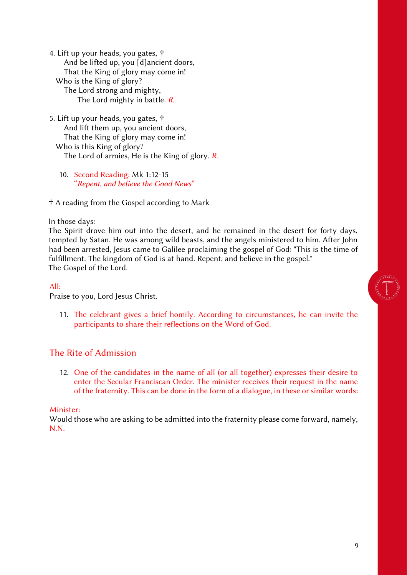4. Lift up your heads, you gates, † And be lifted up, you [d]ancient doors, That the King of glory may come in! Who is the King of glory? The Lord strong and mighty, The Lord mighty in battle. *R.*

- 5. Lift up your heads, you gates, † And lift them up, you ancient doors, That the King of glory may come in! Who is this King of glory? The Lord of armies, He is the King of glory. *R.*
	- 10. Second Reading: Mk 1:12-15 "*Repent, and believe the Good News*"

† A reading from the Gospel according to Mark

In those days:

The Spirit drove him out into the desert, and he remained in the desert for forty days, tempted by Satan. He was among wild beasts, and the angels ministered to him. After John had been arrested, Jesus came to Galilee proclaiming the gospel of God: "This is the time of fulfillment. The kingdom of God is at hand. Repent, and believe in the gospel." The Gospel of the Lord.

#### All:

Praise to you, Lord Jesus Christ.

11. The celebrant gives a brief homily. According to circumstances, he can invite the participants to share their reflections on the Word of God.

#### The Rite of Admission

12. One of the candidates in the name of all (or all together) expresses their desire to enter the Secular Franciscan Order. The minister receives their request in the name of the fraternity. This can be done in the form of a dialogue, in these or similar words:

#### Minister:

Would those who are asking to be admitted into the fraternity please come forward, namely, N.N.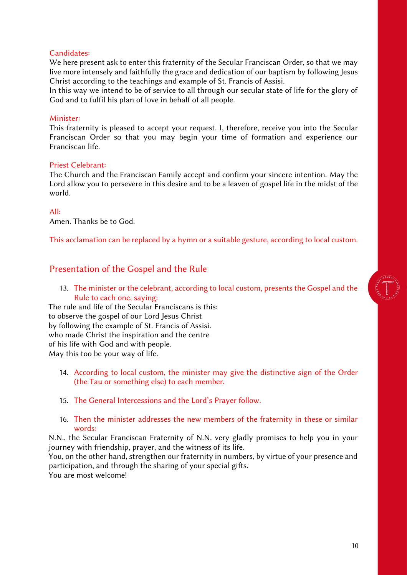#### Candidates:

We here present ask to enter this fraternity of the Secular Franciscan Order, so that we may live more intensely and faithfully the grace and dedication of our baptism by following Jesus Christ according to the teachings and example of St. Francis of Assisi.

In this way we intend to be of service to all through our secular state of life for the glory of God and to fulfil his plan of love in behalf of all people.

#### Minister:

This fraternity is pleased to accept your request. I, therefore, receive you into the Secular Franciscan Order so that you may begin your time of formation and experience our Franciscan life.

#### Priest Celebrant:

The Church and the Franciscan Family accept and confirm your sincere intention. May the Lord allow you to persevere in this desire and to be a leaven of gospel life in the midst of the world.

#### All:

Amen. Thanks be to God.

This acclamation can be replaced by a hymn or a suitable gesture, according to local custom.

### Presentation of the Gospel and the Rule

13. The minister or the celebrant, according to local custom, presents the Gospel and the Rule to each one, saying:

The rule and life of the Secular Franciscans is this: to observe the gospel of our Lord Jesus Christ by following the example of St. Francis of Assisi. who made Christ the inspiration and the centre of his life with God and with people. May this too be your way of life.

- 14. According to local custom, the minister may give the distinctive sign of the Order (the Tau or something else) to each member.
- 15. The General Intercessions and the Lord's Prayer follow.
- 16. Then the minister addresses the new members of the fraternity in these or similar words:

N.N., the Secular Franciscan Fraternity of N.N. very gladly promises to help you in your journey with friendship, prayer, and the witness of its life.

You, on the other hand, strengthen our fraternity in numbers, by virtue of your presence and participation, and through the sharing of your special gifts.

You are most welcome!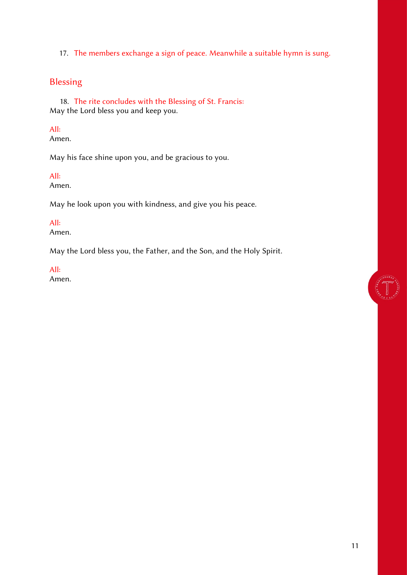17. The members exchange a sign of peace. Meanwhile a suitable hymn is sung.

## Blessing

18. The rite concludes with the Blessing of St. Francis: May the Lord bless you and keep you.

#### All:

Amen.

May his face shine upon you, and be gracious to you.

#### All:

Amen.

May he look upon you with kindness, and give you his peace.

#### All:

Amen.

May the Lord bless you, the Father, and the Son, and the Holy Spirit.

## All:

Amen.

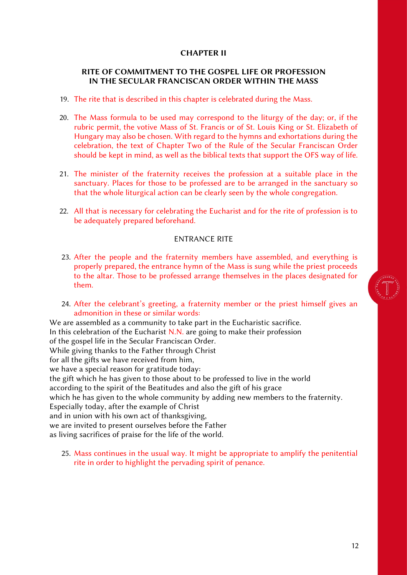#### CHAPTER II

#### <span id="page-12-0"></span>RITE OF COMMITMENT TO THE GOSPEL LIFE OR PROFESSION IN THE SECULAR FRANCISCAN ORDER WITHIN THE MASS

- 19. The rite that is described in this chapter is celebrated during the Mass.
- 20. The Mass formula to be used may correspond to the liturgy of the day; or, if the rubric permit, the votive Mass of St. Francis or of St. Louis King or St. Elizabeth of Hungary may also be chosen. With regard to the hymns and exhortations during the celebration, the text of Chapter Two of the Rule of the Secular Franciscan Order should be kept in mind, as well as the biblical texts that support the OFS way of life.
- 21. The minister of the fraternity receives the profession at a suitable place in the sanctuary. Places for those to be professed are to be arranged in the sanctuary so that the whole liturgical action can be clearly seen by the whole congregation.
- 22. All that is necessary for celebrating the Eucharist and for the rite of profession is to be adequately prepared beforehand.

#### ENTRANCE RITE

- <span id="page-12-1"></span>23. After the people and the fraternity members have assembled, and everything is properly prepared, the entrance hymn of the Mass is sung while the priest proceeds to the altar. Those to be professed arrange themselves in the places designated for them.
- 24. After the celebrant's greeting, a fraternity member or the priest himself gives an admonition in these or similar words:

We are assembled as a community to take part in the Eucharistic sacrifice. In this celebration of the Eucharist  $N.N.$  are going to make their profession of the gospel life in the Secular Franciscan Order. While giving thanks to the Father through Christ for all the gifts we have received from him, we have a special reason for gratitude today: the gift which he has given to those about to be professed to live in the world according to the spirit of the Beatitudes and also the gift of his grace which he has given to the whole community by adding new members to the fraternity. Especially today, after the example of Christ and in union with his own act of thanksgiving, we are invited to present ourselves before the Father as living sacrifices of praise for the life of the world.

<span id="page-12-2"></span>25. Mass continues in the usual way. It might be appropriate to amplify the penitential rite in order to highlight the pervading spirit of penance.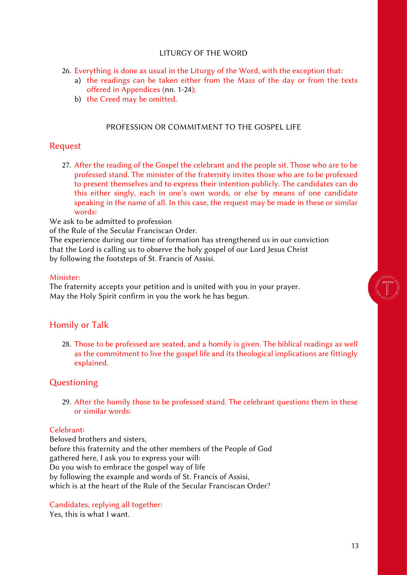#### LITURGY OF THE WORD

- 26. Everything is done as usual in the Liturgy of the Word, with the exception that:
	- a) the readings can be taken either from the Mass of the day or from the texts offered in Appendices (nn. 1-24);
	- b) the Creed may be omitted.

#### PROFESSION OR COMMITMENT TO THE GOSPEL LIFE

### <span id="page-13-0"></span>Request

27. After the reading of the Gospel the celebrant and the people sit. Those who are to be professed stand. The minister of the fraternity invites those who are to be professed to present themselves and to express their intention publicly. The candidates can do this either singly, each in one's own words, or else by means of one candidate speaking in the name of all. In this case, the request may be made in these or similar words:

We ask to be admitted to profession

of the Rule of the Secular Franciscan Order.

The experience during our time of formation has strengthened us in our conviction that the Lord is calling us to observe the holy gospel of our Lord Jesus Christ by following the footsteps of St. Francis of Assisi.

#### Minister:

The fraternity accepts your petition and is united with you in your prayer. May the Holy Spirit confirm in you the work he has begun.

### Homily or Talk

28. Those to be professed are seated, and a homily is given. The biblical readings as well as the commitment to live the gospel life and its theological implications are fittingly explained.

### Questioning

29. After the homily those to be professed stand. The celebrant questions them in these or similar words:

#### Celebrant:

Beloved brothers and sisters, before this fraternity and the other members of the People of God gathered here, I ask you to express your will: Do you wish to embrace the gospel way of life by following the example and words of St. Francis of Assisi, which is at the heart of the Rule of the Secular Franciscan Order?

#### Candidates, replying all together:

Yes, this is what I want.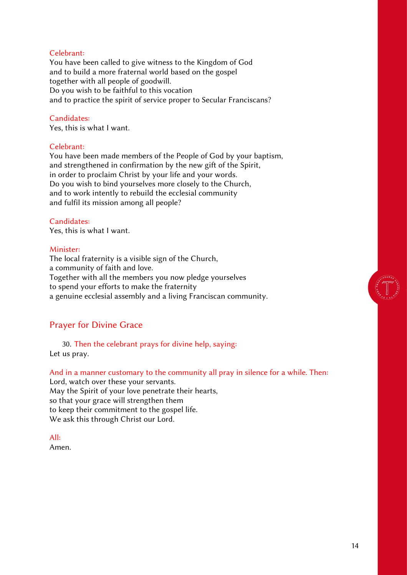#### Celebrant:

You have been called to give witness to the Kingdom of God and to build a more fraternal world based on the gospel together with all people of goodwill. Do you wish to be faithful to this vocation and to practice the spirit of service proper to Secular Franciscans?

#### Candidates:

Yes, this is what I want.

#### Celebrant:

You have been made members of the People of God by your baptism, and strengthened in confirmation by the new gift of the Spirit, in order to proclaim Christ by your life and your words. Do you wish to bind yourselves more closely to the Church, and to work intently to rebuild the ecclesial community and fulfil its mission among all people?

### Candidates:

Yes, this is what I want.

#### Minister:

The local fraternity is a visible sign of the Church, a community of faith and love. Together with all the members you now pledge yourselves to spend your efforts to make the fraternity a genuine ecclesial assembly and a living Franciscan community.

### Prayer for Divine Grace

30. Then the celebrant prays for divine help, saying: Let us pray.

#### And in a manner customary to the community all pray in silence for a while. Then:

Lord, watch over these your servants. May the Spirit of your love penetrate their hearts, so that your grace will strengthen them to keep their commitment to the gospel life. We ask this through Christ our Lord.

All:

Amen.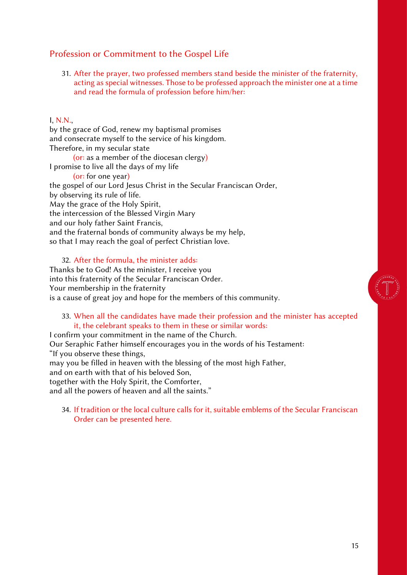### Profession or Commitment to the Gospel Life

31. After the prayer, two professed members stand beside the minister of the fraternity, acting as special witnesses. Those to be professed approach the minister one at a time and read the formula of profession before him/her:

#### I, N.N.,

by the grace of God, renew my baptismal promises and consecrate myself to the service of his kingdom. Therefore, in my secular state (or: as a member of the diocesan clergy) I promise to live all the days of my life (or: for one year) the gospel of our Lord Jesus Christ in the Secular Franciscan Order, by observing its rule of life. May the grace of the Holy Spirit, the intercession of the Blessed Virgin Mary and our holy father Saint Francis, and the fraternal bonds of community always be my help, so that I may reach the goal of perfect Christian love.

32. After the formula, the minister adds:

Thanks be to God! As the minister, I receive you into this fraternity of the Secular Franciscan Order. Your membership in the fraternity is a cause of great joy and hope for the members of this community.

#### 33. When all the candidates have made their profession and the minister has accepted it, the celebrant speaks to them in these or similar words:

I confirm your commitment in the name of the Church.

Our Seraphic Father himself encourages you in the words of his Testament: "If you observe these things,

may you be filled in heaven with the blessing of the most high Father,

and on earth with that of his beloved Son,

together with the Holy Spirit, the Comforter,

and all the powers of heaven and all the saints."

34. If tradition or the local culture calls for it, suitable emblems of the Secular Franciscan Order can be presented here.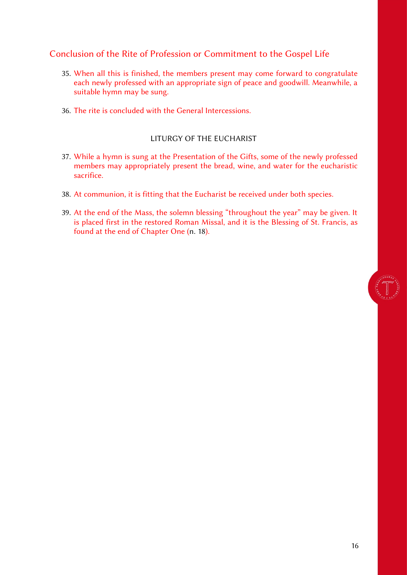### Conclusion of the Rite of Profession or Commitment to the Gospel Life

- 35. When all this is finished, the members present may come forward to congratulate each newly professed with an appropriate sign of peace and goodwill. Meanwhile, a suitable hymn may be sung.
- 36. The rite is concluded with the General Intercessions.

### LITURGY OF THE EUCHARIST

- <span id="page-16-0"></span>37. While a hymn is sung at the Presentation of the Gifts, some of the newly professed members may appropriately present the bread, wine, and water for the eucharistic sacrifice.
- 38. At communion, it is fitting that the Eucharist be received under both species.
- 39. At the end of the Mass, the solemn blessing "throughout the year" may be given. It is placed first in the restored Roman Missal, and it is the Blessing of St. Francis, as found at the end of Chapter One (n. 18).



16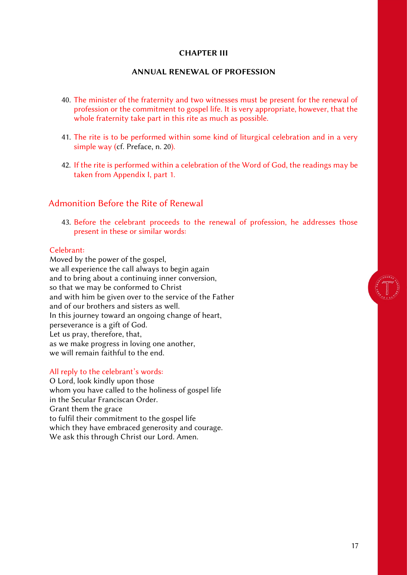#### CHAPTER III

#### ANNUAL RENEWAL OF PROFESSION

- <span id="page-17-0"></span>40. The minister of the fraternity and two witnesses must be present for the renewal of profession or the commitment to gospel life. It is very appropriate, however, that the whole fraternity take part in this rite as much as possible.
- 41. The rite is to be performed within some kind of liturgical celebration and in a very simple way (cf. Preface, n. 20).
- 42. If the rite is performed within a celebration of the Word of God, the readings may be taken from Appendix I, part 1.

#### Admonition Before the Rite of Renewal

43. Before the celebrant proceeds to the renewal of profession, he addresses those present in these or similar words:

#### Celebrant:

Moved by the power of the gospel, we all experience the call always to begin again and to bring about a continuing inner conversion, so that we may be conformed to Christ and with him be given over to the service of the Father and of our brothers and sisters as well. In this journey toward an ongoing change of heart, perseverance is a gift of God. Let us pray, therefore, that, as we make progress in loving one another, we will remain faithful to the end.

#### All reply to the celebrant's words:

O Lord, look kindly upon those whom you have called to the holiness of gospel life in the Secular Franciscan Order. Grant them the grace to fulfil their commitment to the gospel life which they have embraced generosity and courage. We ask this through Christ our Lord. Amen.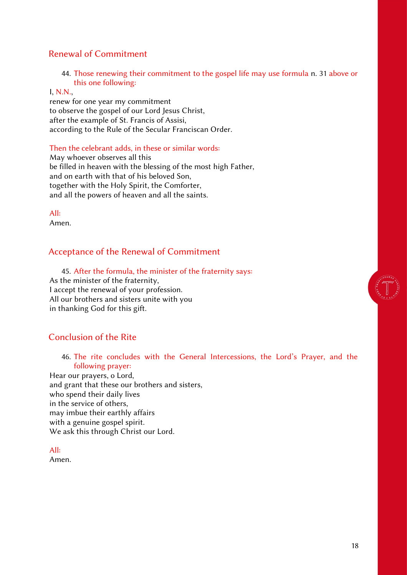### Renewal of Commitment

44. Those renewing their commitment to the gospel life may use formula n. 31 above or this one following:

#### I, N.N.,

renew for one year my commitment to observe the gospel of our Lord Jesus Christ, after the example of St. Francis of Assisi, according to the Rule of the Secular Franciscan Order.

#### Then the celebrant adds, in these or similar words:

May whoever observes all this be filled in heaven with the blessing of the most high Father, and on earth with that of his beloved Son, together with the Holy Spirit, the Comforter, and all the powers of heaven and all the saints.

All:

Amen.

### Acceptance of the Renewal of Commitment

45. After the formula, the minister of the fraternity says: As the minister of the fraternity, I accept the renewal of your profession. All our brothers and sisters unite with you in thanking God for this gift.

### Conclusion of the Rite

46. The rite concludes with the General Intercessions, the Lord's Prayer, and the following prayer:

Hear our prayers, o Lord, and grant that these our brothers and sisters, who spend their daily lives in the service of others, may imbue their earthly affairs with a genuine gospel spirit. We ask this through Christ our Lord.

All: Amen.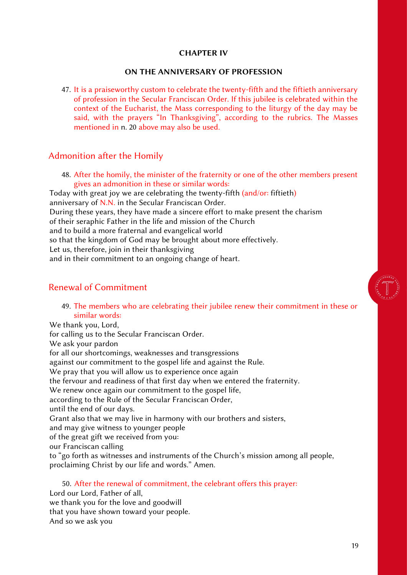#### CHAPTER IV

#### ON THE ANNIVERSARY OF PROFESSION

<span id="page-19-0"></span>47. It is a praiseworthy custom to celebrate the twenty-fifth and the fiftieth anniversary of profession in the Secular Franciscan Order. If this jubilee is celebrated within the context of the Eucharist, the Mass corresponding to the liturgy of the day may be said, with the prayers "In Thanksgiving", according to the rubrics. The Masses mentioned in n. 20 above may also be used.

#### Admonition after the Homily

48. After the homily, the minister of the fraternity or one of the other members present gives an admonition in these or similar words:

Today with great joy we are celebrating the twenty-fifth (and/or: fiftieth) anniversary of N.N. in the Secular Franciscan Order. During these years, they have made a sincere effort to make present the charism of their seraphic Father in the life and mission of the Church and to build a more fraternal and evangelical world so that the kingdom of God may be brought about more effectively. Let us, therefore, join in their thanksgiving and in their commitment to an ongoing change of heart.

### Renewal of Commitment

49. The members who are celebrating their jubilee renew their commitment in these or similar words:

We thank you, Lord, for calling us to the Secular Franciscan Order. We ask your pardon for all our shortcomings, weaknesses and transgressions against our commitment to the gospel life and against the Rule. We pray that you will allow us to experience once again the fervour and readiness of that first day when we entered the fraternity. We renew once again our commitment to the gospel life, according to the Rule of the Secular Franciscan Order, until the end of our days. Grant also that we may live in harmony with our brothers and sisters, and may give witness to younger people of the great gift we received from you: our Franciscan calling to "go forth as witnesses and instruments of the Church's mission among all people, proclaiming Christ by our life and words." Amen.

50. After the renewal of commitment, the celebrant offers this prayer: Lord our Lord, Father of all, we thank you for the love and goodwill that you have shown toward your people. And so we ask you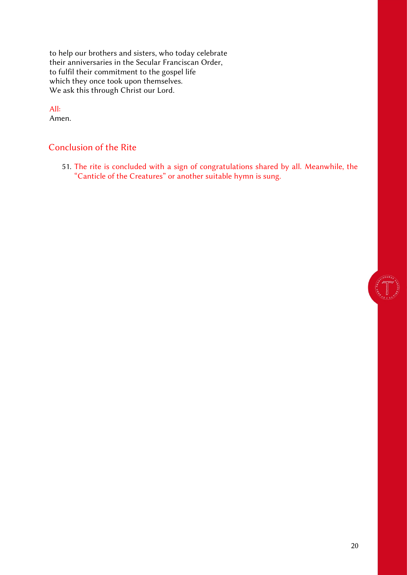to help our brothers and sisters, who today celebrate their anniversaries in the Secular Franciscan Order, to fulfil their commitment to the gospel life which they once took upon themselves. We ask this through Christ our Lord.

### All:

Amen.

### Conclusion of the Rite

51. The rite is concluded with a sign of congratulations shared by all. Meanwhile, the "Canticle of the Creatures" or another suitable hymn is sung.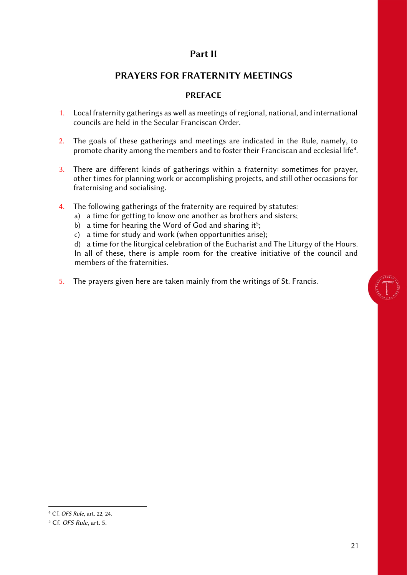### Part II

### PRAYERS FOR FRATERNITY MEETINGS

#### PREFACE

- <span id="page-21-1"></span><span id="page-21-0"></span>1. Local fraternity gatherings as well as meetings of regional, national, and international councils are held in the Secular Franciscan Order.
- 2. The goals of these gatherings and meetings are indicated in the Rule, namely, to promote charity among the members and to foster their Franciscan and ecclesial life<sup>4</sup>.
- 3. There are different kinds of gatherings within a fraternity: sometimes for prayer, other times for planning work or accomplishing projects, and still other occasions for fraternising and socialising.
- 4. The following gatherings of the fraternity are required by statutes:
	- a) a time for getting to know one another as brothers and sisters;
	- b) a time for hearing the Word of God and sharing it<sup>5</sup>;
	- c) a time for study and work (when opportunities arise);

d) a time for the liturgical celebration of the Eucharist and The Liturgy of the Hours. In all of these, there is ample room for the creative initiative of the council and members of the fraternities.

5. The prayers given here are taken mainly from the writings of St. Francis.

<sup>4</sup> Cf. *OFS Rule*, art. 22, 24.

<sup>5</sup> Cf. *OFS Rule*, art. 5.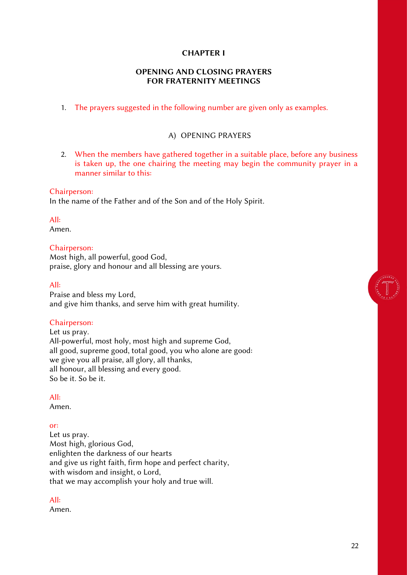#### CHAPTER I

#### OPENING AND CLOSING PRAYERS FOR FRATERNITY MEETINGS

<span id="page-22-0"></span>1. The prayers suggested in the following number are given only as examples.

#### A) OPENING PRAYERS

<span id="page-22-1"></span>2. When the members have gathered together in a suitable place, before any business is taken up, the one chairing the meeting may begin the community prayer in a manner similar to this:

#### Chairperson:

In the name of the Father and of the Son and of the Holy Spirit.

All:

Amen.

#### Chairperson:

Most high, all powerful, good God, praise, glory and honour and all blessing are yours.

#### All:

Praise and bless my Lord, and give him thanks, and serve him with great humility.

#### Chairperson:

Let us pray. All-powerful, most holy, most high and supreme God, all good, supreme good, total good, you who alone are good: we give you all praise, all glory, all thanks, all honour, all blessing and every good. So be it. So be it.

#### All:

Amen.

#### or:

Let us pray. Most high, glorious God, enlighten the darkness of our hearts and give us right faith, firm hope and perfect charity, with wisdom and insight, o Lord, that we may accomplish your holy and true will.

#### All:

Amen.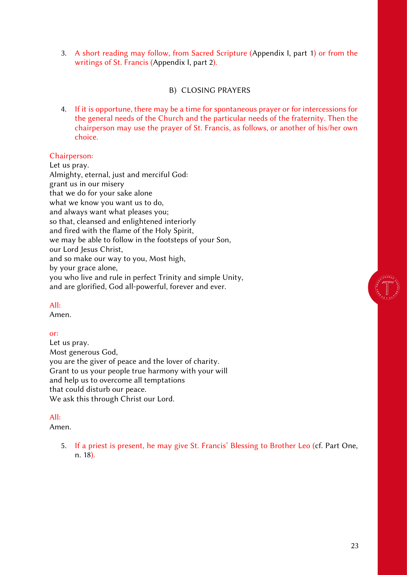3. A short reading may follow, from Sacred Scripture (Appendix I, part 1) or from the writings of St. Francis (Appendix I, part 2).

#### B) CLOSING PRAYERS

<span id="page-23-0"></span>4. If it is opportune, there may be a time for spontaneous prayer or for intercessions for the general needs of the Church and the particular needs of the fraternity. Then the chairperson may use the prayer of St. Francis, as follows, or another of his/her own choice.

#### Chairperson:

Let us pray. Almighty, eternal, just and merciful God: grant us in our misery that we do for your sake alone what we know you want us to do, and always want what pleases you; so that, cleansed and enlightened interiorly and fired with the flame of the Holy Spirit, we may be able to follow in the footsteps of your Son, our Lord Jesus Christ, and so make our way to you, Most high, by your grace alone, you who live and rule in perfect Trinity and simple Unity, and are glorified, God all-powerful, forever and ever.

#### All:

Amen.

#### or:

Let us pray. Most generous God, you are the giver of peace and the lover of charity. Grant to us your people true harmony with your will and help us to overcome all temptations that could disturb our peace. We ask this through Christ our Lord.

#### All:

Amen.

5. If a priest is present, he may give St. Francis' Blessing to Brother Leo (cf. Part One, n. 18).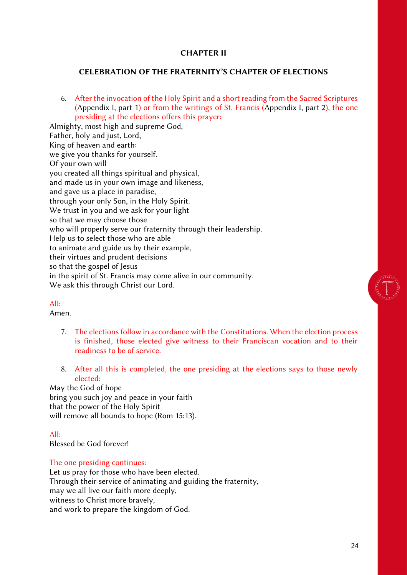#### CHAPTER II

#### <span id="page-24-0"></span>CELEBRATION OF THE FRATERNITY'S CHAPTER OF ELECTIONS

6. After the invocation of the Holy Spirit and a short reading from the Sacred Scriptures (Appendix I, part 1) or from the writings of St. Francis (Appendix I, part 2), the one presiding at the elections offers this prayer:

Almighty, most high and supreme God, Father, holy and just, Lord, King of heaven and earth: we give you thanks for yourself. Of your own will you created all things spiritual and physical, and made us in your own image and likeness, and gave us a place in paradise, through your only Son, in the Holy Spirit. We trust in you and we ask for your light so that we may choose those who will properly serve our fraternity through their leadership. Help us to select those who are able to animate and guide us by their example, their virtues and prudent decisions so that the gospel of Jesus in the spirit of St. Francis may come alive in our community. We ask this through Christ our Lord.

#### All:

Amen.

- 7. The elections follow in accordance with the Constitutions. When the election process is finished, those elected give witness to their Franciscan vocation and to their readiness to be of service.
- 8. After all this is completed, the one presiding at the elections says to those newly elected:

May the God of hope bring you such joy and peace in your faith that the power of the Holy Spirit will remove all bounds to hope (Rom 15:13).

All:

Blessed be God forever!

The one presiding continues:

Let us pray for those who have been elected. Through their service of animating and guiding the fraternity, may we all live our faith more deeply, witness to Christ more bravely, and work to prepare the kingdom of God.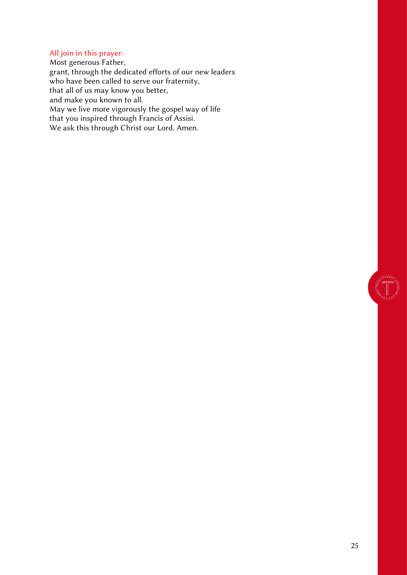### All join in this prayer:

Most generous Father, grant, through the dedicated efforts of our new leaders who have been called to serve our fraternity, that all of us may know you better, and make you known to all. May we live more vigorously the gospel way of life that you inspired through Francis of Assisi. We ask this through Christ our Lord. Amen.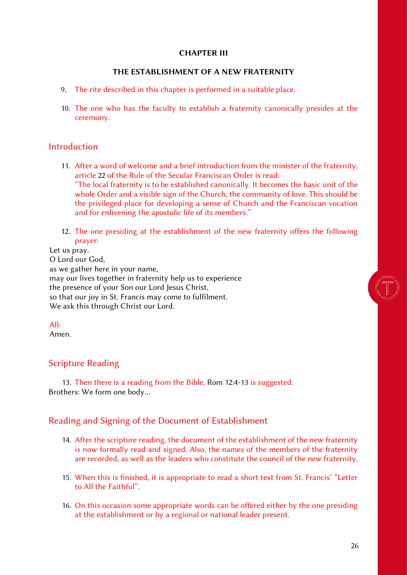#### CHAPTER III

#### THE ESTABLISHMENT OF A NEW FRATERNITY

- <span id="page-26-0"></span>9. The rite described in this chapter is performed in a suitable place.
- 10. The one who has the faculty to establish a fraternity canonically presides at the ceremony.

#### Introduction

- 11. After a word of welcome and a brief introduction from the minister of the fraternity, article 22 of the Rule of the Secular Franciscan Order is read: "The local fraternity is to be established canonically. It becomes the basic unit of the whole Order and a visible sign of the Church, the community of love. This should be the privileged place for developing a sense of Church and the Franciscan vocation and for enlivening the apostolic life of its members."
- 12. The one presiding at the establishment of the new fraternity offers the following prayer:

#### Let us pray. O Lord our God, as we gather here in your name, may our lives together in fraternity help us to experience the presence of your Son our Lord Jesus Christ, so that our joy in St. Francis may come to fulfilment. We ask this through Christ our Lord.

#### All:

Amen.

#### Scripture Reading

13. Then there is a reading from the Bible, Rom 12:4-13 is suggested. Brothers: We form one body…

#### Reading and Signing of the Document of Establishment

- 14. After the scripture reading, the document of the establishment of the new fraternity is now formally read and signed. Also, the names of the members of the fraternity are recorded, as well as the leaders who constitute the council of the new fraternity.
- 15. When this is finished, it is appropriate to read a short text from St. Francis' "Letter to All the Faithful".
- 16. On this occasion some appropriate words can be offered either by the one presiding at the establishment or by a regional or national leader present.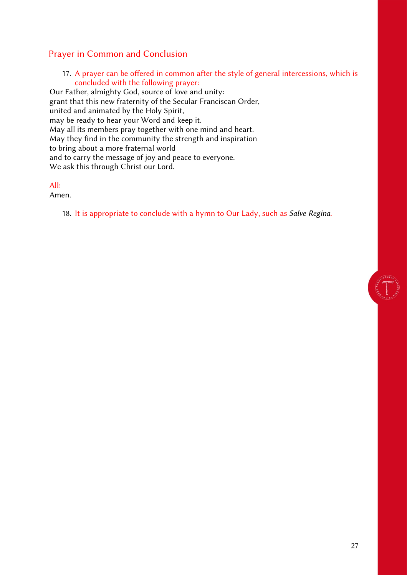### Prayer in Common and Conclusion

17. A prayer can be offered in common after the style of general intercessions, which is concluded with the following prayer:

Our Father, almighty God, source of love and unity: grant that this new fraternity of the Secular Franciscan Order, united and animated by the Holy Spirit, may be ready to hear your Word and keep it. May all its members pray together with one mind and heart. May they find in the community the strength and inspiration to bring about a more fraternal world and to carry the message of joy and peace to everyone. We ask this through Christ our Lord.

All:

Amen.

18. It is appropriate to conclude with a hymn to Our Lady, such as *Salve Regina.*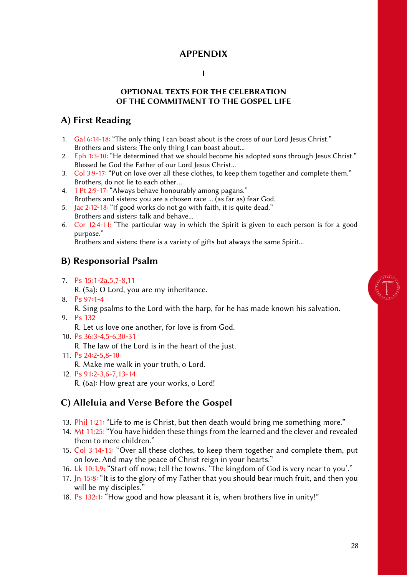### APPENDIX

#### I

#### OPTIONAL TEXTS FOR THE CELEBRATION OF THE COMMITMENT TO THE GOSPEL LIFE

### <span id="page-28-2"></span><span id="page-28-1"></span><span id="page-28-0"></span>A) First Reading

- 1. Gal 6:14-18: "The only thing I can boast about is the cross of our Lord Jesus Christ." Brothers and sisters: The only thing I can boast about...
- 2. Eph 1:3-10: "He determined that we should become his adopted sons through Jesus Christ." Blessed be God the Father of our Lord Jesus Christ...
- 3. Col 3:9-17: "Put on love over all these clothes, to keep them together and complete them." Brothers, do not lie to each other…
- 4. 1 Pt 2:9-17: "Always behave honourably among pagans." Brothers and sisters: you are a chosen race ... (as far as) fear God.
- 5. Jac 2:12-18: "If good works do not go with faith, it is quite dead." Brothers and sisters: talk and behave...
- 6. Cor 12:4-11: "The particular way in which the Spirit is given to each person is for a good purpose."

Brothers and sisters: there is a variety of gifts but always the same Spirit...

### <span id="page-28-3"></span>B) Responsorial Psalm

7. Ps 15:1-2a.5,7-8,11

R. (5a): O Lord, you are my inheritance.

- 8. Ps 97:1-4 R. Sing psalms to the Lord with the harp, for he has made known his salvation.
- 9. Ps 132
	- R. Let us love one another, for love is from God.
- 10. Ps 36:3-4,5-6,30-31
	- R. The law of the Lord is in the heart of the just.
- 11. Ps 24:2-5,8-10

R. Make me walk in your truth, o Lord.

12. Ps 91:2-3,6-7,13-14

R. (6a): How great are your works, o Lord!

### <span id="page-28-4"></span>C) Alleluia and Verse Before the Gospel

- 13. Phil 1:21: "Life to me is Christ, but then death would bring me something more."
- 14. Mt 11:25: "You have hidden these things from the learned and the clever and revealed them to mere children."
- 15. Col 3:14-15: "Over all these clothes, to keep them together and complete them, put on love. And may the peace of Christ reign in your hearts."
- 16. Lk 10:1,9: "Start off now; tell the towns, 'The kingdom of God is very near to you'."
- 17. Jn 15:8: "It is to the glory of my Father that you should bear much fruit, and then you will be my disciples."
- 18. Ps 132:1: "How good and how pleasant it is, when brothers live in unity!"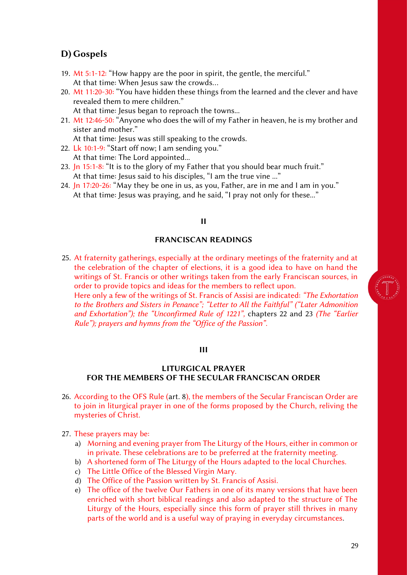### <span id="page-29-0"></span>D) Gospels

- 19. Mt 5:1-12: "How happy are the poor in spirit, the gentle, the merciful." At that time: When Jesus saw the crowds…
- 20. Mt 11:20-30: "You have hidden these things from the learned and the clever and have revealed them to mere children." At that time: Jesus began to reproach the towns...
- 21. Mt 12:46-50: "Anyone who does the will of my Father in heaven, he is my brother and sister and mother."

At that time: Jesus was still speaking to the crowds.

- 22. Lk 10:1-9: "Start off now; I am sending you." At that time: The Lord appointed...
- 23. Jn 15:1-8: "It is to the glory of my Father that you should bear much fruit." At that time: Jesus said to his disciples, "I am the true vine ..."
- <span id="page-29-1"></span>24. In 17:20-26: "May they be one in us, as you, Father, are in me and I am in you." At that time: Jesus was praying, and he said, "I pray not only for these..."

#### II

#### FRANCISCAN READINGS

25. At fraternity gatherings, especially at the ordinary meetings of the fraternity and at the celebration of the chapter of elections, it is a good idea to have on hand the writings of St. Francis or other writings taken from the early Franciscan sources, in order to provide topics and ideas for the members to reflect upon. Here only a few of the writings of St. Francis of Assisi are indicated: *"The Exhortation to the Brothers and Sisters in Penance"; "Letter to All the Faithful" ("Later Admonition and Exhortation"); the "Unconfirmed Rule of 1221",* chapters 22 and 23 *(The "Earlier Rule"); prayers and hymns from the "Office of the Passion".*

#### III

#### <span id="page-29-2"></span>LITURGICAL PRAYER FOR THE MEMBERS OF THE SECULAR FRANCISCAN ORDER

- 26. According to the OFS Rule (art. 8), the members of the Secular Franciscan Order are to join in liturgical prayer in one of the forms proposed by the Church, reliving the mysteries of Christ.
- 27. These prayers may be:
	- a) Morning and evening prayer from The Liturgy of the Hours, either in common or in private. These celebrations are to be preferred at the fraternity meeting.
	- b) A shortened form of The Liturgy of the Hours adapted to the local Churches.
	- c) The Little Office of the Blessed Virgin Mary.
	- d) The Office of the Passion written by St. Francis of Assisi.
	- e) The office of the twelve Our Fathers in one of its many versions that have been enriched with short biblical readings and also adapted to the structure of The Liturgy of the Hours, especially since this form of prayer still thrives in many parts of the world and is a useful way of praying in everyday circumstances.